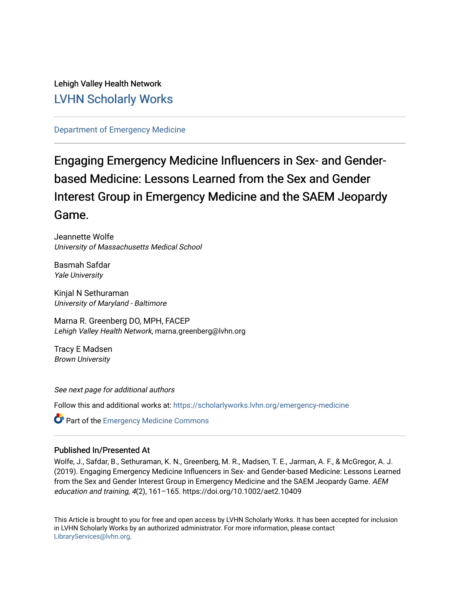Lehigh Valley Health Network [LVHN Scholarly Works](https://scholarlyworks.lvhn.org/)

[Department of Emergency Medicine](https://scholarlyworks.lvhn.org/emergency-medicine)

## Engaging Emergency Medicine Influencers in Sex- and Genderbased Medicine: Lessons Learned from the Sex and Gender Interest Group in Emergency Medicine and the SAEM Jeopardy Game.

Jeannette Wolfe University of Massachusetts Medical School

Basmah Safdar Yale University

Kinjal N Sethuraman University of Maryland - Baltimore

Marna R. Greenberg DO, MPH, FACEP Lehigh Valley Health Network, marna.greenberg@lvhn.org

Tracy E Madsen Brown University

See next page for additional authors

Follow this and additional works at: [https://scholarlyworks.lvhn.org/emergency-medicine](https://scholarlyworks.lvhn.org/emergency-medicine?utm_source=scholarlyworks.lvhn.org%2Femergency-medicine%2F701&utm_medium=PDF&utm_campaign=PDFCoverPages) 

**Part of the [Emergency Medicine Commons](https://network.bepress.com/hgg/discipline/685?utm_source=scholarlyworks.lvhn.org%2Femergency-medicine%2F701&utm_medium=PDF&utm_campaign=PDFCoverPages)** 

#### Published In/Presented At

Wolfe, J., Safdar, B., Sethuraman, K. N., Greenberg, M. R., Madsen, T. E., Jarman, A. F., & McGregor, A. J. (2019). Engaging Emergency Medicine Influencers in Sex- and Gender-based Medicine: Lessons Learned from the Sex and Gender Interest Group in Emergency Medicine and the SAEM Jeopardy Game. AEM education and training, 4(2), 161–165. https://doi.org/10.1002/aet2.10409

This Article is brought to you for free and open access by LVHN Scholarly Works. It has been accepted for inclusion in LVHN Scholarly Works by an authorized administrator. For more information, please contact [LibraryServices@lvhn.org](mailto:LibraryServices@lvhn.org).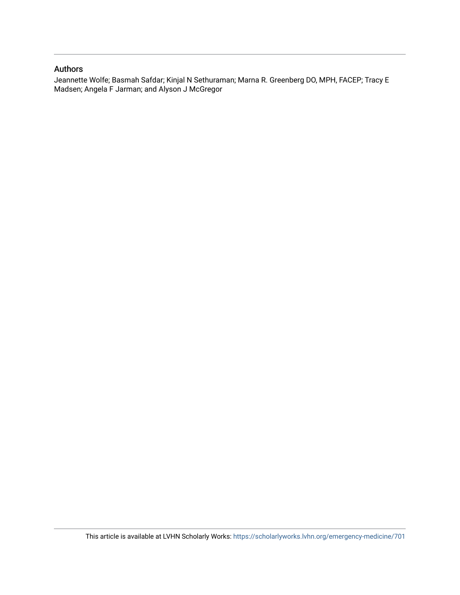### Authors

Jeannette Wolfe; Basmah Safdar; Kinjal N Sethuraman; Marna R. Greenberg DO, MPH, FACEP; Tracy E Madsen; Angela F Jarman; and Alyson J McGregor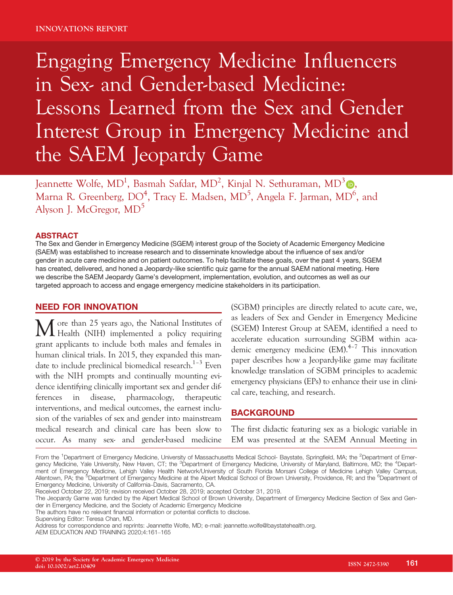# Engaging Emergency Medicine Influencers in Sex- and Gender-based Medicine: Lessons Learned from the Sex and Gender Interest Group in Emergency Medicine and the SAEM Jeopardy Game

Jeannette Wolfe, MD<sup>1</sup>, Basmah Safdar, MD<sup>2</sup>, Kinjal N. Sethuraman, MD<sup>3</sup> (D, Marna R. Greenberg, DO<sup>4</sup>, Tracy E. Madsen, MD<sup>5</sup>, Angela F. Jarman, MD<sup>6</sup>, and Alyson J. McGregor, MD<sup>5</sup>

#### ABSTRACT

The Sex and Gender in Emergency Medicine (SGEM) interest group of the Society of Academic Emergency Medicine (SAEM) was established to increase research and to disseminate knowledge about the influence of sex and/or gender in acute care medicine and on patient outcomes. To help facilitate these goals, over the past 4 years, SGEM has created, delivered, and honed a Jeopardy-like scientific quiz game for the annual SAEM national meeting. Here we describe the SAEM Jeopardy Game's development, implementation, evolution, and outcomes as well as our targeted approach to access and engage emergency medicine stakeholders in its participation.

#### NEED FOR INNOVATION

M ore than 25 years ago, the National Institutes of Health (NIH) implemented a policy requiring grant applicants to include both males and females in human clinical trials. In 2015, they expanded this mandate to include preclinical biomedical research. $1-3$  Even with the NIH prompts and continually mounting evidence identifying clinically important sex and gender differences in disease, pharmacology, therapeutic interventions, and medical outcomes, the earnest inclusion of the variables of sex and gender into mainstream medical research and clinical care has been slow to occur. As many sex- and gender-based medicine

(SGBM) principles are directly related to acute care, we, as leaders of Sex and Gender in Emergency Medicine (SGEM) Interest Group at SAEM, identified a need to accelerate education surrounding SGBM within academic emergency medicine (EM).4–<sup>7</sup> This innovation paper describes how a Jeopardy-like game may facilitate knowledge translation of SGBM principles to academic emergency physicians (EPs) to enhance their use in clinical care, teaching, and research.

#### BACKGROUND

The first didactic featuring sex as a biologic variable in EM was presented at the SAEM Annual Meeting in

From the <sup>1</sup>Department of Emergency Medicine, University of Massachusetts Medical School- Baystate, Springfield, MA; the <sup>2</sup>Department of Emergency Medicine, Yale University, New Haven, CT; the <sup>3</sup>Department of Emergency Medicine, University of Maryland, Baltimore, MD; the <sup>4</sup>Department of Emergency Medicine, Lehigh Valley Health Network/University of South Florida Morsani College of Medicine Lehigh Valley Campus, Allentown, PA; the <sup>5</sup>Department of Emergency Medicine at the Alpert Medical School of Brown University, Providence, RI; and the <sup>6</sup>Department of Emergency Medicine, University of California–Davis, Sacramento, CA.

Received October 22, 2019; revision received October 28, 2019; accepted October 31, 2019.

The Jeopardy Game was funded by the Alpert Medical School of Brown University, Department of Emergency Medicine Section of Sex and Gender in Emergency Medicine, and the Society of Academic Emergency Medicine

The authors have no relevant financial information or potential conflicts to disclose.

Supervising Editor: Teresa Chan, MD.

Address for correspondence and reprints: Jeannette Wolfe, MD; e-mail: [jeannette.wolfe@baystatehealth.org.](mailto:)

AEM EDUCATION AND TRAINING 2020;4:161–165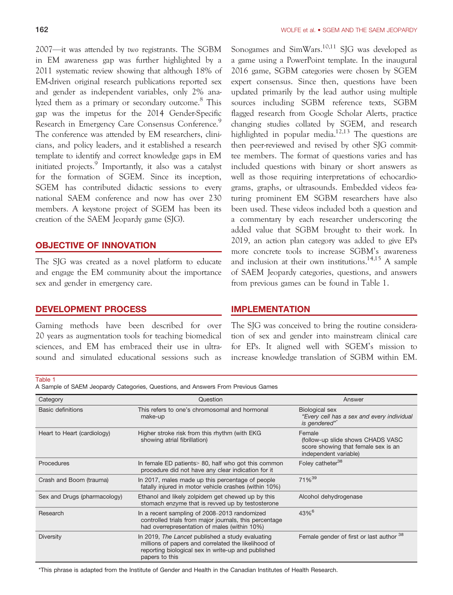2007—it was attended by two registrants. The SGBM in EM awareness gap was further highlighted by a 2011 systematic review showing that although 18% of EM-driven original research publications reported sex and gender as independent variables, only 2% analyzed them as a primary or secondary outcome.<sup>8</sup> This gap was the impetus for the 2014 Gender-Specific Research in Emergency Care Consensus Conference. The conference was attended by EM researchers, clinicians, and policy leaders, and it established a research template to identify and correct knowledge gaps in EM initiated projects.<sup>9</sup> Importantly, it also was a catalyst for the formation of SGEM. Since its inception, SGEM has contributed didactic sessions to every national SAEM conference and now has over 230 members. A keystone project of SGEM has been its creation of the SAEM Jeopardy game (SJG).

#### OBJECTIVE OF INNOVATION

The SJG was created as a novel platform to educate and engage the EM community about the importance sex and gender in emergency care.

#### DEVELOPMENT PROCESS

Gaming methods have been described for over 20 years as augmentation tools for teaching biomedical sciences, and EM has embraced their use in ultrasound and simulated educational sessions such as

Sonogames and SimWars.<sup>10,11</sup> SJG was developed as a game using a PowerPoint template. In the inaugural 2016 game, SGBM categories were chosen by SGEM expert consensus. Since then, questions have been updated primarily by the lead author using multiple sources including SGBM reference texts, SGBM flagged research from Google Scholar Alerts, practice changing studies collated by SGEM, and research highlighted in popular media.<sup>12,13</sup> The questions are then peer-reviewed and revised by other SJG committee members. The format of questions varies and has included questions with binary or short answers as well as those requiring interpretations of echocardiograms, graphs, or ultrasounds. Embedded videos featuring prominent EM SGBM researchers have also been used. These videos included both a question and a commentary by each researcher underscoring the added value that SGBM brought to their work. In 2019, an action plan category was added to give EPs more concrete tools to increase SGBM's awareness and inclusion at their own institutions.<sup>14,15</sup> A sample of SAEM Jeopardy categories, questions, and answers from previous games can be found in Table 1.

#### IMPLEMENTATION

The SJG was conceived to bring the routine consideration of sex and gender into mainstream clinical care for EPs. It aligned well with SGEM's mission to increase knowledge translation of SGBM within EM.

#### Table 1

A Sample of SAEM Jeopardy Categories, Questions, and Answers From Previous Games

| Category                     | Question                                                                                                                                                                        | Answer                                                                                                       |
|------------------------------|---------------------------------------------------------------------------------------------------------------------------------------------------------------------------------|--------------------------------------------------------------------------------------------------------------|
| <b>Basic definitions</b>     | This refers to one's chromosomal and hormonal<br>make-up                                                                                                                        | Biological sex<br>"Every cell has a sex and every individual<br>is gendered"                                 |
| Heart to Heart (cardiology)  | Higher stroke risk from this rhythm (with EKG<br>showing atrial fibrillation)                                                                                                   | Female<br>(follow-up slide shows CHADS VASC)<br>score showing that female sex is an<br>independent variable) |
| Procedures                   | In female ED patients > 80, half who got this common<br>procedure did not have any clear indication for it                                                                      | Foley catheter <sup>38</sup>                                                                                 |
| Crash and Boom (trauma)      | In 2017, males made up this percentage of people<br>fatally injured in motor vehicle crashes (within 10%)                                                                       | 71% <sup>39</sup>                                                                                            |
| Sex and Drugs (pharmacology) | Ethanol and likely zolpidem get chewed up by this<br>stomach enzyme that is revved up by testosterone                                                                           | Alcohol dehydrogenase                                                                                        |
| Research                     | In a recent sampling of 2008-2013 randomized<br>controlled trials from major journals, this percentage<br>had overrepresentation of males (within 10%)                          | $43\%$ <sup>6</sup>                                                                                          |
| <b>Diversity</b>             | In 2019, The Lancet published a study evaluating<br>millions of papers and correlated the likelihood of<br>reporting biological sex in write-up and published<br>papers to this | Female gender of first or last author 38                                                                     |

\*This phrase is adapted from the Institute of Gender and Health in the Canadian Institutes of Health Research.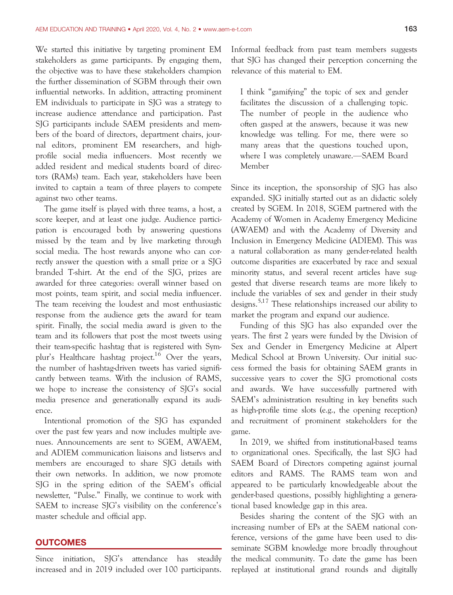We started this initiative by targeting prominent EM stakeholders as game participants. By engaging them, the objective was to have these stakeholders champion the further dissemination of SGBM through their own influential networks. In addition, attracting prominent EM individuals to participate in SJG was a strategy to increase audience attendance and participation. Past SJG participants include SAEM presidents and members of the board of directors, department chairs, journal editors, prominent EM researchers, and highprofile social media influencers. Most recently we added resident and medical students board of directors (RAMs) team. Each year, stakeholders have been invited to captain a team of three players to compete against two other teams.

The game itself is played with three teams, a host, a score keeper, and at least one judge. Audience participation is encouraged both by answering questions missed by the team and by live marketing through social media. The host rewards anyone who can correctly answer the question with a small prize or a SJG branded T-shirt. At the end of the SJG, prizes are awarded for three categories: overall winner based on most points, team spirit, and social media influencer. The team receiving the loudest and most enthusiastic response from the audience gets the award for team spirit. Finally, the social media award is given to the team and its followers that post the most tweets using their team-specific hashtag that is registered with Symplur's Healthcare hashtag project.<sup>16</sup> Over the years, the number of hashtag-driven tweets has varied significantly between teams. With the inclusion of RAMS, we hope to increase the consistency of SJG's social media presence and generationally expand its audience.

Intentional promotion of the SJG has expanded over the past few years and now includes multiple avenues. Announcements are sent to SGEM, AWAEM, and ADIEM communication liaisons and listservs and members are encouraged to share SJG details with their own networks. In addition, we now promote SJG in the spring edition of the SAEM's official newsletter, "Pulse." Finally, we continue to work with SAEM to increase SJG's visibility on the conference's master schedule and official app.

#### **OUTCOMES**

Since initiation, SJG's attendance has steadily increased and in 2019 included over 100 participants. Informal feedback from past team members suggests that SJG has changed their perception concerning the relevance of this material to EM.

I think "gamifying" the topic of sex and gender facilitates the discussion of a challenging topic. The number of people in the audience who often gasped at the answers, because it was new knowledge was telling. For me, there were so many areas that the questions touched upon, where I was completely unaware.—SAEM Board Member

Since its inception, the sponsorship of SJG has also expanded. SJG initially started out as an didactic solely created by SGEM. In 2018, SGEM partnered with the Academy of Women in Academy Emergency Medicine (AWAEM) and with the Academy of Diversity and Inclusion in Emergency Medicine (ADIEM). This was a natural collaboration as many gender-related health outcome disparities are exacerbated by race and sexual minority status, and several recent articles have suggested that diverse research teams are more likely to include the variables of sex and gender in their study designs.<sup>5,17</sup> These relationships increased our ability to market the program and expand our audience.

Funding of this SJG has also expanded over the years. The first 2 years were funded by the Division of Sex and Gender in Emergency Medicine at Alpert Medical School at Brown University. Our initial success formed the basis for obtaining SAEM grants in successive years to cover the SJG promotional costs and awards. We have successfully partnered with SAEM's administration resulting in key benefits such as high-profile time slots (e.g., the opening reception) and recruitment of prominent stakeholders for the game.

In 2019, we shifted from institutional-based teams to organizational ones. Specifically, the last SJG had SAEM Board of Directors competing against journal editors and RAMS. The RAMS team won and appeared to be particularly knowledgeable about the gender-based questions, possibly highlighting a generational based knowledge gap in this area.

Besides sharing the content of the SJG with an increasing number of EPs at the SAEM national conference, versions of the game have been used to disseminate SGBM knowledge more broadly throughout the medical community. To date the game has been replayed at institutional grand rounds and digitally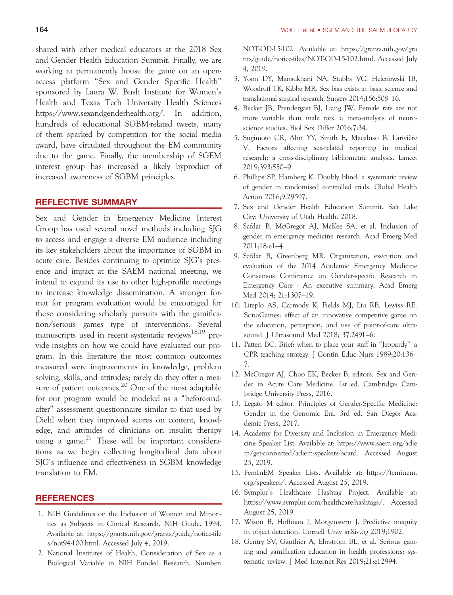shared with other medical educators at the 2018 Sex and Gender Health Education Summit. Finally, we are working to permanently house the game on an openaccess platform "Sex and Gender Specific Health" sponsored by Laura W. Bush Institute for Women's Health and Texas Tech University Health Sciences <https://www.sexandgenderhealth.org/>. In addition, hundreds of educational SGBM-related tweets, many of them sparked by competition for the social media award, have circulated throughout the EM community due to the game. Finally, the membership of SGEM interest group has increased a likely byproduct of increased awareness of SGBM principles.

#### REFLECTIVE SUMMARY

Sex and Gender in Emergency Medicine Interest Group has used several novel methods including SJG to access and engage a diverse EM audience including its key stakeholders about the importance of SGBM in acute care. Besides continuing to optimize SJG's presence and impact at the SAEM national meeting, we intend to expand its use to other high-profile meetings to increase knowledge dissemination. A stronger format for program evaluation would be encouraged for those considering scholarly pursuits with the gamification/serious games type of interventions. Several manuscripts used in recent systematic reviews<sup>18,19</sup> provide insights on how we could have evaluated our program. In this literature the most common outcomes measured were improvements in knowledge, problem solving, skills, and attitudes; rarely do they offer a measure of patient outcomes.<sup>20</sup> One of the most adaptable for our program would be modeled as a "before-andafter" assessment questionnaire similar to that used by Diehl when they improved scores on content, knowledge, and attitudes of clinicians on insulin therapy using a game.<sup>21</sup> These will be important considerations as we begin collecting longitudinal data about SJG's influence and effectiveness in SGBM knowledge translation to EM.

#### REFERENCES

- 1. NIH Guidelines on the Inclusion of Women and Minorities as Subjects in Clinical Research. NIH Guide. 1994. Available at: [https://grants.nih.gov/grants/guide/notice-file](https://grants.nih.gov/grants/guide/notice-files/not94-100.html) [s/not94-100.html.](https://grants.nih.gov/grants/guide/notice-files/not94-100.html) Accessed July 4, 2019.
- 2. National Institutes of Health, Consideration of Sex as a Biological Variable in NIH Funded Research. Number:

NOT-OD-15-102. Available at: [https://grants.nih.gov/gra](https://grants.nih.gov/grants/guide/notice-files/NOT-OD-15-102.html) [nts/guide/notice-files/NOT-OD-15-102.html.](https://grants.nih.gov/grants/guide/notice-files/NOT-OD-15-102.html) Accessed July 4, 2019.

- 3. Yoon DY, Mansukhani NA, Stubbs VC, Helenowski IB, Woodruff TK, Kibbe MR. Sex bias exists in basic science and translational surgical research. Surgery 2014;156:508–16.
- 4. Becker JB, Prendergast BJ, Liang JW. Female rats are not more variable than male rats: a meta-analysis of neuroscience studies. Biol Sex Differ 2016;7:34.
- 5. Sugimoto CR, Ahn YY, Smith E, Macaluso B, Lariviere V. Factors affecting sex-related reporting in medical research: a cross-disciplinary bibliometric analysis. Lancet 2019;393:550–9.
- 6. Phillips SP, Hamberg K. Doubly blind: a systematic review of gender in randomised controlled trials. Global Health Action 2016;9:29597.
- 7. Sex and Gender Health Education Summit. Salt Lake City: University of Utah Health. 2018.
- 8. Safdar B, McGregor AJ, McKee SA, et al. Inclusion of gender in emergency medicine research. Acad Emerg Med 2011;18:e1–4.
- 9. Safdar B, Greenberg MR. Organization, execution and evaluation of the 2014 Academic Emergency Medicine Consensus Conference on Gender-specific Research in Emergency Care - An executive summary. Acad Emerg Med 2014; 21:1307–19.
- 10. Liteplo AS, Carmody K, Fields MJ, Liu RB, Lewiss RE. SonoGames: effect of an innovative competitive game on the education, perception, and use of point-of-care ultrasound. J Ultrasound Med 2018; 37:2491–6.
- 11. Patten BC. Brief: when to place your staff in "Jeopardy"–a CPR teaching strategy. J Contin Educ Nurs 1989;20:136– 7.
- 12. McGregor AJ, Choo EK, Becker B, editors. Sex and Gender in Acute Care Medicine. 1st ed. Cambridge: Cambridge University Press, 2016.
- 13. Legato M editor. Principles of Gender-Specific Medicine: Gender in the Genomic Era. 3rd ed. San Diego: Academic Press, 2017.
- 14. Academy for Diversity and Inclusion in Emergency Medicine Speaker List. Available at: [https://www.saem.org/adie](https://www.saem.org/adiem/get-connected/adiem-speakers-board) [m/get-connected/adiem-speakers-board](https://www.saem.org/adiem/get-connected/adiem-speakers-board). Accessed August 25, 2019.
- 15. FemInEM Speaker Lists. Available at: [https://feminem.](https://feminem.org/speakers/) [org/speakers/.](https://feminem.org/speakers/) Accessed August 25, 2019.
- 16. Symplur's Healthcare Hashtag Project. Available at: [https://www.symplur.com/healthcare-hashtags/.](https://www.symplur.com/healthcare-hashtags/) Accessed August 25, 2019.
- 17. Wison B, Hoffman J, Morgenstern J. Predictive inequity in object detection. Cornell Univ arXiv.og 2019;1902.
- 18. Gentry SV, Gauthier A, Ehrstrom BL, et al. Serious gaming and gamification education in health professions: systematic review. J Med Internet Res 2019;21:e12994.